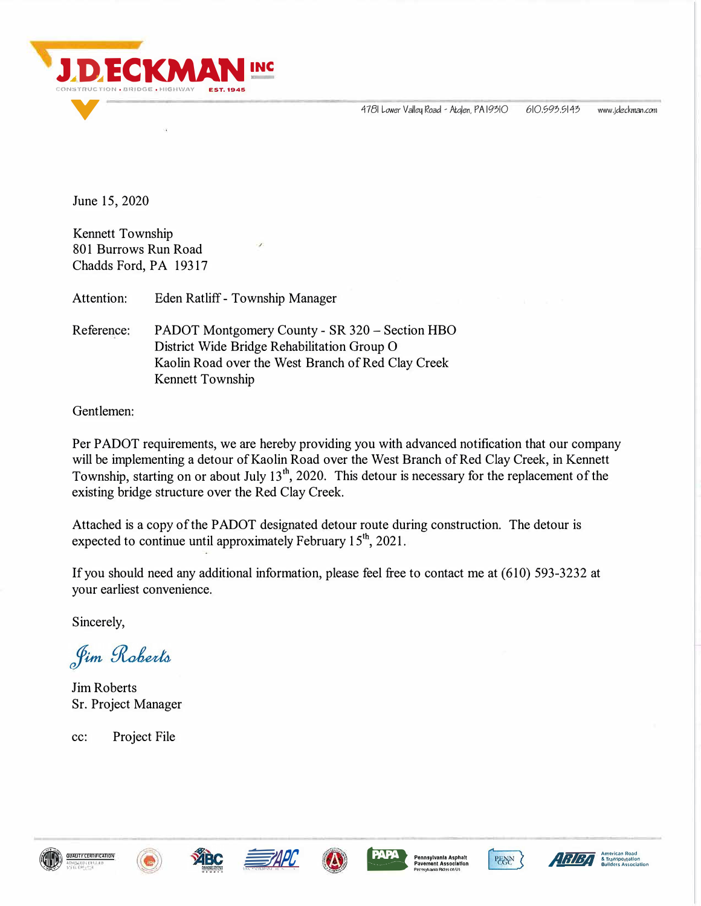4781 Lower Valley Road - Atglen, PA 19310

610,593,5143 www.ideckman.com

June 15, 2020

Kennett Township 801 Burrows Run Road Chadds Ford, PA 19317

Attention: Eden Ratliff - Township Manager

Reference: PADOT Montgomery County - SR 320 - Section HBO District Wide Bridge Rehabilitation Group O Kaolin Road over the West Branch of Red Clay Creek Kennett Township

Gentlemen:

Per PADOT requirements, we are hereby providing you with advanced notification that our company will be implementing a detour of Kaolin Road over the West Branch of Red Clay Creek, in Kennett Township, starting on or about July 13<sup>th</sup>, 2020. This detour is necessary for the replacement of the existing bridge structure over the Red Clay Creek.

Attached is a copy of the PADOT designated detour route during construction. The detour is expected to continue until approximately February 15<sup>th</sup>, 2021.

If you should need any additional information, please feel free to contact me at (610) 593-3232 at your earliest convenience.

Sincerely,

Jim Roberts

**Jim Roberts** Sr. Project Manager

Project File  $cc$ :